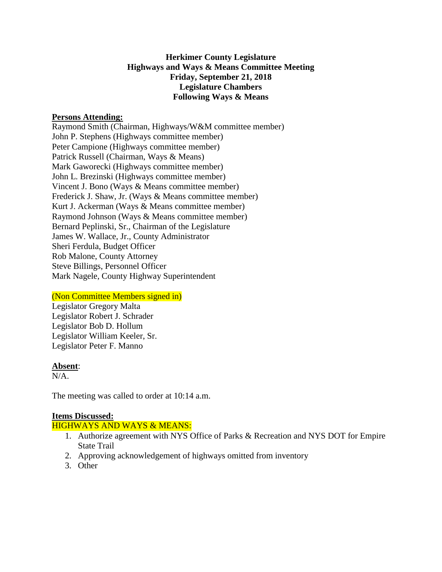# **Herkimer County Legislature Highways and Ways & Means Committee Meeting Friday, September 21, 2018 Legislature Chambers Following Ways & Means**

### **Persons Attending:**

Raymond Smith (Chairman, Highways/W&M committee member) John P. Stephens (Highways committee member) Peter Campione (Highways committee member) Patrick Russell (Chairman, Ways & Means) Mark Gaworecki (Highways committee member) John L. Brezinski (Highways committee member) Vincent J. Bono (Ways & Means committee member) Frederick J. Shaw, Jr. (Ways & Means committee member) Kurt J. Ackerman (Ways & Means committee member) Raymond Johnson (Ways & Means committee member) Bernard Peplinski, Sr., Chairman of the Legislature James W. Wallace, Jr., County Administrator Sheri Ferdula, Budget Officer Rob Malone, County Attorney Steve Billings, Personnel Officer Mark Nagele, County Highway Superintendent

#### (Non Committee Members signed in)

Legislator Gregory Malta Legislator Robert J. Schrader Legislator Bob D. Hollum Legislator William Keeler, Sr. Legislator Peter F. Manno

#### **Absent**:

 $N/A$ .

The meeting was called to order at 10:14 a.m.

# **Items Discussed:**

# HIGHWAYS AND WAYS & MEANS:

- 1. Authorize agreement with NYS Office of Parks & Recreation and NYS DOT for Empire State Trail
- 2. Approving acknowledgement of highways omitted from inventory
- 3. Other